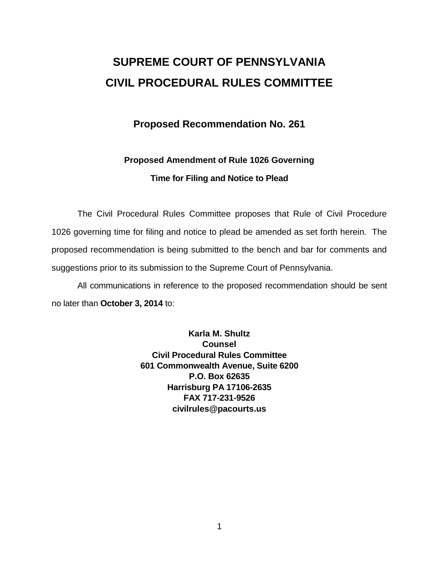# **SUPREME COURT OF PENNSYLVANIA CIVIL PROCEDURAL RULES COMMITTEE**

### **Proposed Recommendation No. 261**

## **Proposed Amendment of Rule 1026 Governing Time for Filing and Notice to Plead**

The Civil Procedural Rules Committee proposes that Rule of Civil Procedure 1026 governing time for filing and notice to plead be amended as set forth herein. The proposed recommendation is being submitted to the bench and bar for comments and suggestions prior to its submission to the Supreme Court of Pennsylvania.

All communications in reference to the proposed recommendation should be sent no later than **October 3, 2014** to:

> **Karla M. Shultz Counsel Civil Procedural Rules Committee 601 Commonwealth Avenue, Suite 6200 P.O. Box 62635 Harrisburg PA 17106-2635 FAX 717-231-9526 civilrules@pacourts.us**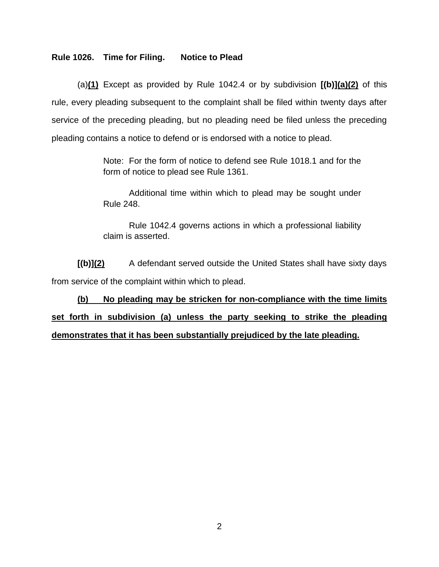### **Rule 1026. Time for Filing. Notice to Plead**

(a)**(1)** Except as provided by Rule 1042.4 or by subdivision **[(b)](a)(2)** of this rule, every pleading subsequent to the complaint shall be filed within twenty days after service of the preceding pleading, but no pleading need be filed unless the preceding pleading contains a notice to defend or is endorsed with a notice to plead.

> Note: For the form of notice to defend see Rule 1018.1 and for the form of notice to plead see Rule 1361.

> Additional time within which to plead may be sought under Rule 248.

> Rule 1042.4 governs actions in which a professional liability claim is asserted.

**[(b)](2)** A defendant served outside the United States shall have sixty days from service of the complaint within which to plead.

**(b) No pleading may be stricken for non-compliance with the time limits set forth in subdivision (a) unless the party seeking to strike the pleading demonstrates that it has been substantially prejudiced by the late pleading.**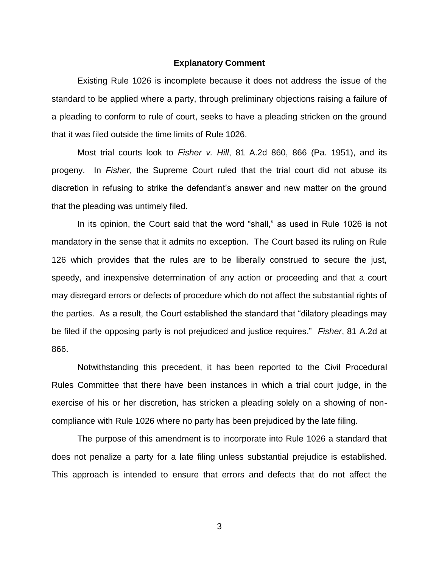#### **Explanatory Comment**

Existing Rule 1026 is incomplete because it does not address the issue of the standard to be applied where a party, through preliminary objections raising a failure of a pleading to conform to rule of court, seeks to have a pleading stricken on the ground that it was filed outside the time limits of Rule 1026.

Most trial courts look to *Fisher v. Hill*, 81 A.2d 860, 866 (Pa. 1951), and its progeny. In *Fisher*, the Supreme Court ruled that the trial court did not abuse its discretion in refusing to strike the defendant's answer and new matter on the ground that the pleading was untimely filed.

In its opinion, the Court said that the word "shall," as used in Rule 1026 is not mandatory in the sense that it admits no exception. The Court based its ruling on Rule 126 which provides that the rules are to be liberally construed to secure the just, speedy, and inexpensive determination of any action or proceeding and that a court may disregard errors or defects of procedure which do not affect the substantial rights of the parties. As a result, the Court established the standard that "dilatory pleadings may be filed if the opposing party is not prejudiced and justice requires." *Fisher*, 81 A.2d at 866.

Notwithstanding this precedent, it has been reported to the Civil Procedural Rules Committee that there have been instances in which a trial court judge, in the exercise of his or her discretion, has stricken a pleading solely on a showing of noncompliance with Rule 1026 where no party has been prejudiced by the late filing.

The purpose of this amendment is to incorporate into Rule 1026 a standard that does not penalize a party for a late filing unless substantial prejudice is established. This approach is intended to ensure that errors and defects that do not affect the

3